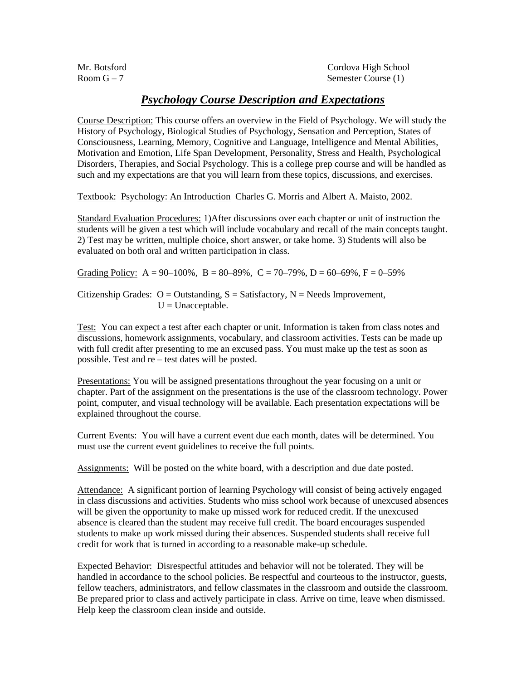Mr. Botsford Cordova High School  $Room G - 7$  Semester Course (1)

## *Psychology Course Description and Expectations*

Course Description: This course offers an overview in the Field of Psychology. We will study the History of Psychology, Biological Studies of Psychology, Sensation and Perception, States of Consciousness, Learning, Memory, Cognitive and Language, Intelligence and Mental Abilities, Motivation and Emotion, Life Span Development, Personality, Stress and Health, Psychological Disorders, Therapies, and Social Psychology. This is a college prep course and will be handled as such and my expectations are that you will learn from these topics, discussions, and exercises.

Textbook: Psychology: An Introduction Charles G. Morris and Albert A. Maisto, 2002.

Standard Evaluation Procedures: 1)After discussions over each chapter or unit of instruction the students will be given a test which will include vocabulary and recall of the main concepts taught. 2) Test may be written, multiple choice, short answer, or take home. 3) Students will also be evaluated on both oral and written participation in class.

Grading Policy: A = 90–100%, B = 80–89%, C = 70–79%, D = 60–69%, F = 0–59%

Citizenship Grades:  $O =$  Outstanding,  $S =$  Satisfactory,  $N =$  Needs Improvement,  $U =$ Unacceptable.

Test: You can expect a test after each chapter or unit. Information is taken from class notes and discussions, homework assignments, vocabulary, and classroom activities. Tests can be made up with full credit after presenting to me an excused pass. You must make up the test as soon as possible. Test and re – test dates will be posted.

Presentations: You will be assigned presentations throughout the year focusing on a unit or chapter. Part of the assignment on the presentations is the use of the classroom technology. Power point, computer, and visual technology will be available. Each presentation expectations will be explained throughout the course.

Current Events: You will have a current event due each month, dates will be determined. You must use the current event guidelines to receive the full points.

Assignments: Will be posted on the white board, with a description and due date posted.

Attendance: A significant portion of learning Psychology will consist of being actively engaged in class discussions and activities. Students who miss school work because of unexcused absences will be given the opportunity to make up missed work for reduced credit. If the unexcused absence is cleared than the student may receive full credit. The board encourages suspended students to make up work missed during their absences. Suspended students shall receive full credit for work that is turned in according to a reasonable make-up schedule.

Expected Behavior: Disrespectful attitudes and behavior will not be tolerated. They will be handled in accordance to the school policies. Be respectful and courteous to the instructor, guests, fellow teachers, administrators, and fellow classmates in the classroom and outside the classroom. Be prepared prior to class and actively participate in class. Arrive on time, leave when dismissed. Help keep the classroom clean inside and outside.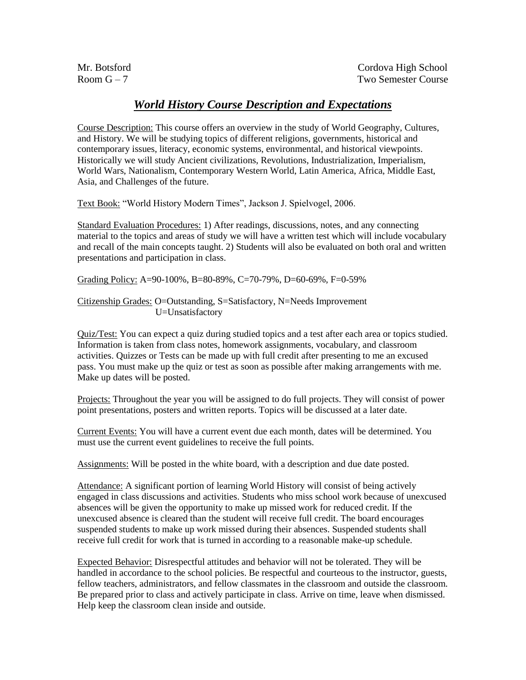## *World History Course Description and Expectations*

Course Description: This course offers an overview in the study of World Geography, Cultures, and History. We will be studying topics of different religions, governments, historical and contemporary issues, literacy, economic systems, environmental, and historical viewpoints. Historically we will study Ancient civilizations, Revolutions, Industrialization, Imperialism, World Wars, Nationalism, Contemporary Western World, Latin America, Africa, Middle East, Asia, and Challenges of the future.

Text Book: "World History Modern Times", Jackson J. Spielvogel, 2006.

Standard Evaluation Procedures: 1) After readings, discussions, notes, and any connecting material to the topics and areas of study we will have a written test which will include vocabulary and recall of the main concepts taught. 2) Students will also be evaluated on both oral and written presentations and participation in class.

Grading Policy: A=90-100%, B=80-89%, C=70-79%, D=60-69%, F=0-59%

#### Citizenship Grades: O=Outstanding, S=Satisfactory, N=Needs Improvement U=Unsatisfactory

Quiz/Test: You can expect a quiz during studied topics and a test after each area or topics studied. Information is taken from class notes, homework assignments, vocabulary, and classroom activities. Quizzes or Tests can be made up with full credit after presenting to me an excused pass. You must make up the quiz or test as soon as possible after making arrangements with me. Make up dates will be posted.

Projects: Throughout the year you will be assigned to do full projects. They will consist of power point presentations, posters and written reports. Topics will be discussed at a later date.

Current Events: You will have a current event due each month, dates will be determined. You must use the current event guidelines to receive the full points.

Assignments: Will be posted in the white board, with a description and due date posted.

Attendance: A significant portion of learning World History will consist of being actively engaged in class discussions and activities. Students who miss school work because of unexcused absences will be given the opportunity to make up missed work for reduced credit. If the unexcused absence is cleared than the student will receive full credit. The board encourages suspended students to make up work missed during their absences. Suspended students shall receive full credit for work that is turned in according to a reasonable make-up schedule.

Expected Behavior: Disrespectful attitudes and behavior will not be tolerated. They will be handled in accordance to the school policies. Be respectful and courteous to the instructor, guests, fellow teachers, administrators, and fellow classmates in the classroom and outside the classroom. Be prepared prior to class and actively participate in class. Arrive on time, leave when dismissed. Help keep the classroom clean inside and outside.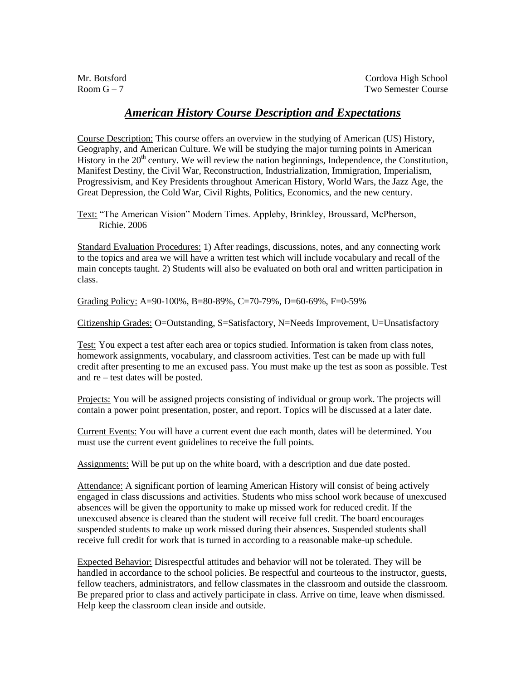### *American History Course Description and Expectations*

Course Description: This course offers an overview in the studying of American (US) History, Geography, and American Culture. We will be studying the major turning points in American History in the  $20<sup>th</sup>$  century. We will review the nation beginnings, Independence, the Constitution, Manifest Destiny, the Civil War, Reconstruction, Industrialization, Immigration, Imperialism, Progressivism, and Key Presidents throughout American History, World Wars, the Jazz Age, the Great Depression, the Cold War, Civil Rights, Politics, Economics, and the new century.

Text: "The American Vision" Modern Times. Appleby, Brinkley, Broussard, McPherson, Richie. 2006

Standard Evaluation Procedures: 1) After readings, discussions, notes, and any connecting work to the topics and area we will have a written test which will include vocabulary and recall of the main concepts taught. 2) Students will also be evaluated on both oral and written participation in class.

Grading Policy: A=90-100%, B=80-89%, C=70-79%, D=60-69%, F=0-59%

Citizenship Grades: O=Outstanding, S=Satisfactory, N=Needs Improvement, U=Unsatisfactory

Test: You expect a test after each area or topics studied. Information is taken from class notes, homework assignments, vocabulary, and classroom activities. Test can be made up with full credit after presenting to me an excused pass. You must make up the test as soon as possible. Test and re – test dates will be posted.

Projects: You will be assigned projects consisting of individual or group work. The projects will contain a power point presentation, poster, and report. Topics will be discussed at a later date.

Current Events: You will have a current event due each month, dates will be determined. You must use the current event guidelines to receive the full points.

Assignments: Will be put up on the white board, with a description and due date posted.

Attendance: A significant portion of learning American History will consist of being actively engaged in class discussions and activities. Students who miss school work because of unexcused absences will be given the opportunity to make up missed work for reduced credit. If the unexcused absence is cleared than the student will receive full credit. The board encourages suspended students to make up work missed during their absences. Suspended students shall receive full credit for work that is turned in according to a reasonable make-up schedule.

Expected Behavior: Disrespectful attitudes and behavior will not be tolerated. They will be handled in accordance to the school policies. Be respectful and courteous to the instructor, guests, fellow teachers, administrators, and fellow classmates in the classroom and outside the classroom. Be prepared prior to class and actively participate in class. Arrive on time, leave when dismissed. Help keep the classroom clean inside and outside.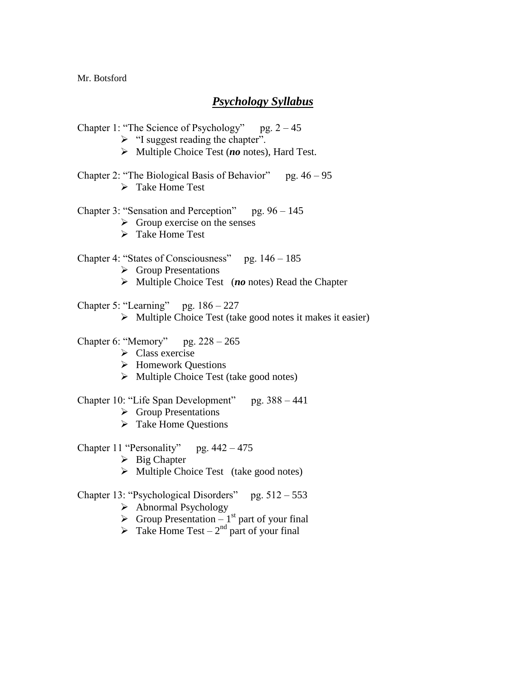Mr. Botsford

## *Psychology Syllabus*

- Chapter 1: "The Science of Psychology" pg.  $2 45$  $\triangleright$  "I suggest reading the chapter". Multiple Choice Test (*no* notes), Hard Test. Chapter 2: "The Biological Basis of Behavior" pg.  $46 - 95$ > Take Home Test Chapter 3: "Sensation and Perception" pg.  $96 - 145$  $\triangleright$  Group exercise on the senses Take Home Test Chapter 4: "States of Consciousness" pg. 146 – 185  $\triangleright$  Group Presentations Chapter 6: "Memory" pg. 228 – 265  $\triangleright$  Class exercise Homework Questions  $\triangleright$  Multiple Choice Test (take good notes)  $\triangleright$  Group Presentations  $\triangleright$  Take Home Questions  $\triangleright$  Big Chapter  $\triangleright$  Multiple Choice Test (take good notes)  $\triangleright$  Abnormal Psychology  $\triangleright$  Group Presentation – 1<sup>st</sup> part of your final  $\triangleright$  Take Home Test – 2<sup>nd</sup> part of your final
	- Multiple Choice Test (*no* notes) Read the Chapter
- Chapter 5: "Learning" pg.  $186 227$ 
	- $\triangleright$  Multiple Choice Test (take good notes it makes it easier)
- 
- Chapter 10: "Life Span Development" pg. 388 441
- Chapter 11 "Personality" pg.  $442 475$
- Chapter 13: "Psychological Disorders" pg.  $512 553$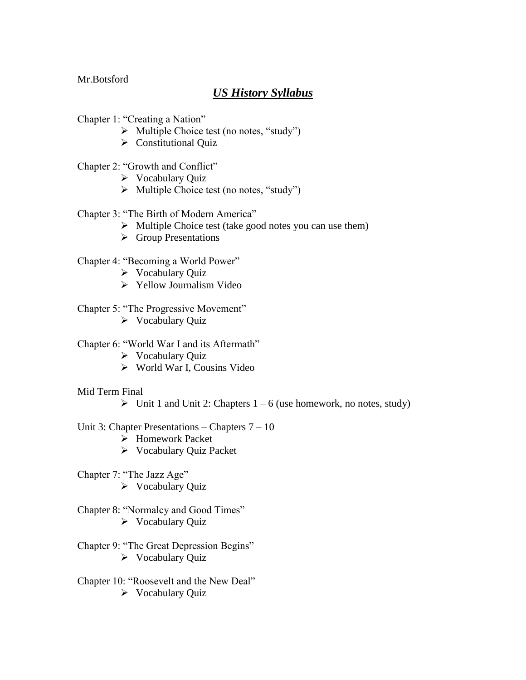Mr.Botsford

# *US History Syllabus*

- Chapter 1: "Creating a Nation"
	- $\triangleright$  Multiple Choice test (no notes, "study")
	- $\triangleright$  Constitutional Quiz
- Chapter 2: "Growth and Conflict"
	- $\triangleright$  Vocabulary Quiz
	- $\triangleright$  Multiple Choice test (no notes, "study")
- Chapter 3: "The Birth of Modern America"
	- $\triangleright$  Multiple Choice test (take good notes you can use them)
	- **►** Group Presentations

#### Chapter 4: "Becoming a World Power"

- $\triangleright$  Vocabulary Quiz
- $\triangleright$  Yellow Journalism Video
- Chapter 5: "The Progressive Movement"
	- $\triangleright$  Vocabulary Quiz

Chapter 6: "World War I and its Aftermath"

- $\triangleright$  Vocabulary Quiz
- World War I, Cousins Video
- Mid Term Final
	- $\triangleright$  Unit 1 and Unit 2: Chapters 1 6 (use homework, no notes, study)

#### Unit 3: Chapter Presentations – Chapters 7 – 10

- Homework Packet
- Vocabulary Quiz Packet
- Chapter 7: "The Jazz Age"  $\triangleright$  Vocabulary Quiz
- Chapter 8: "Normalcy and Good Times"  $\triangleright$  Vocabulary Quiz
- Chapter 9: "The Great Depression Begins"  $\triangleright$  Vocabulary Quiz
- Chapter 10: "Roosevelt and the New Deal"  $\triangleright$  Vocabulary Quiz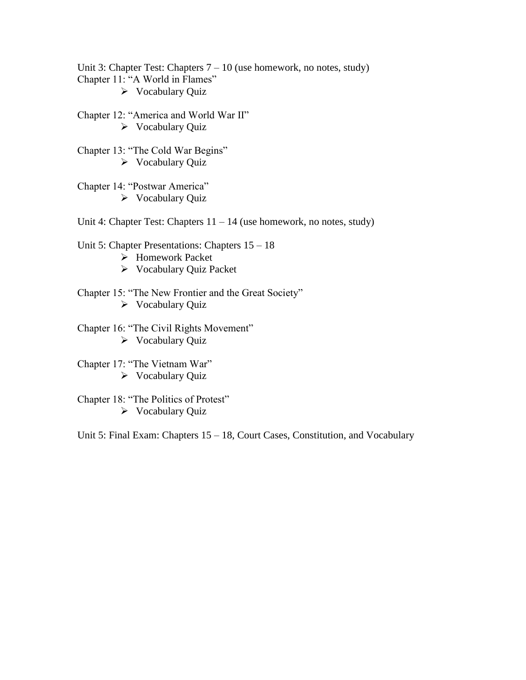Unit 3: Chapter Test: Chapters  $7 - 10$  (use homework, no notes, study) Chapter 11: "A World in Flames"  $\triangleright$  Vocabulary Quiz

Chapter 12: "America and World War II"  $\triangleright$  Vocabulary Quiz

Chapter 13: "The Cold War Begins"  $\triangleright$  Vocabulary Quiz

Chapter 14: "Postwar America"  $\triangleright$  Vocabulary Quiz

Unit 4: Chapter Test: Chapters  $11 - 14$  (use homework, no notes, study)

Unit 5: Chapter Presentations: Chapters 15 – 18

- Homework Packet
- Vocabulary Quiz Packet

Chapter 15: "The New Frontier and the Great Society"  $\triangleright$  Vocabulary Quiz

Chapter 16: "The Civil Rights Movement"  $\triangleright$  Vocabulary Quiz

Chapter 17: "The Vietnam War"  $\triangleright$  Vocabulary Quiz

Chapter 18: "The Politics of Protest"  $\triangleright$  Vocabulary Quiz

Unit 5: Final Exam: Chapters 15 – 18, Court Cases, Constitution, and Vocabulary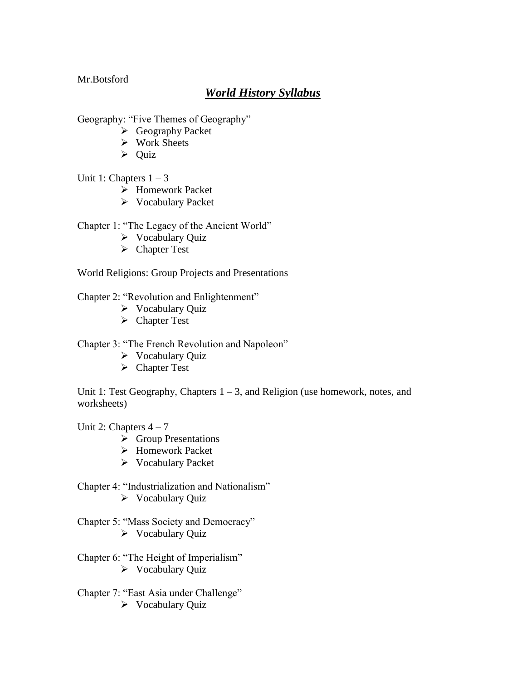Mr.Botsford

## *World History Syllabus*

Geography: "Five Themes of Geography"

- Geography Packet
- $\triangleright$  Work Sheets
- $\triangleright$  Ouiz

### Unit 1: Chapters  $1 - 3$

- Homework Packet
- Vocabulary Packet

### Chapter 1: "The Legacy of the Ancient World"

- $\triangleright$  Vocabulary Quiz
- Chapter Test

World Religions: Group Projects and Presentations

- Chapter 2: "Revolution and Enlightenment"
	- $\triangleright$  Vocabulary Quiz
	- Chapter Test

Chapter 3: "The French Revolution and Napoleon"

- $\triangleright$  Vocabulary Quiz
- Chapter Test

Unit 1: Test Geography, Chapters  $1 - 3$ , and Religion (use homework, notes, and worksheets)

Unit 2: Chapters  $4 - 7$ 

- **►** Group Presentations
- $\triangleright$  Homework Packet
- Vocabulary Packet
- Chapter 4: "Industrialization and Nationalism"
	- $\triangleright$  Vocabulary Quiz
- Chapter 5: "Mass Society and Democracy"  $\triangleright$  Vocabulary Quiz
- Chapter 6: "The Height of Imperialism"  $\triangleright$  Vocabulary Quiz
- Chapter 7: "East Asia under Challenge"  $\triangleright$  Vocabulary Quiz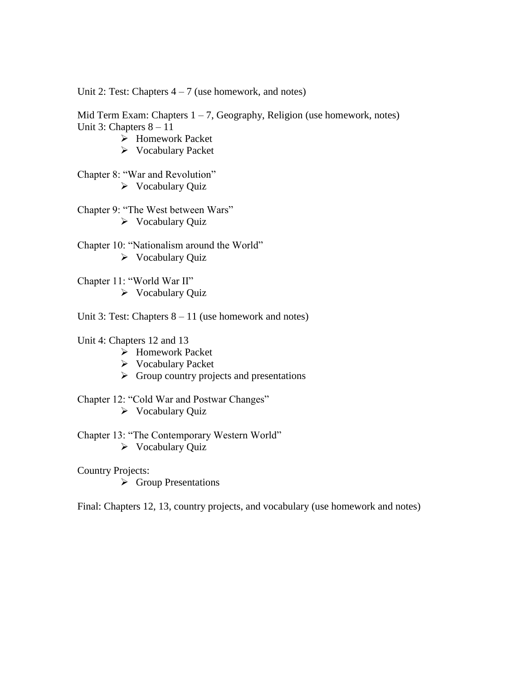Unit 2: Test: Chapters  $4 - 7$  (use homework, and notes)

Mid Term Exam: Chapters  $1 - 7$ , Geography, Religion (use homework, notes) Unit 3: Chapters 8 – 11

- Homework Packet
- Vocabulary Packet

Chapter 8: "War and Revolution"  $\triangleright$  Vocabulary Quiz

Chapter 9: "The West between Wars"  $\triangleright$  Vocabulary Quiz

Chapter 10: "Nationalism around the World"  $\triangleright$  Vocabulary Quiz

Chapter 11: "World War II"  $\triangleright$  Vocabulary Quiz

Unit 3: Test: Chapters  $8 - 11$  (use homework and notes)

Unit 4: Chapters 12 and 13

- Homework Packet
- Vocabulary Packet
- $\triangleright$  Group country projects and presentations

Chapter 12: "Cold War and Postwar Changes"

 $\triangleright$  Vocabulary Quiz

Chapter 13: "The Contemporary Western World"  $\triangleright$  Vocabulary Quiz

Country Projects:

 $\triangleright$  Group Presentations

Final: Chapters 12, 13, country projects, and vocabulary (use homework and notes)